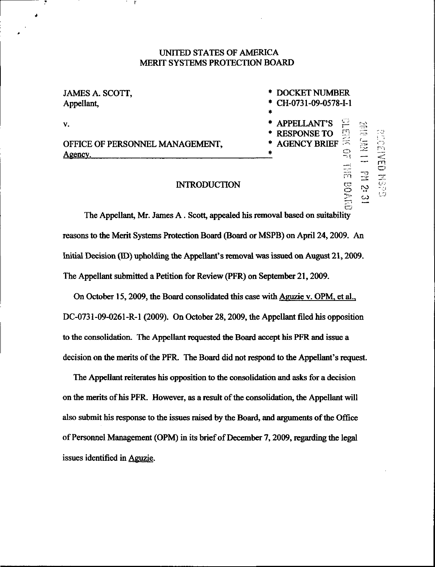## UNITED STATES OF AMERICA MERIT SYSTEMS PROTECTION BOARD

| JAMES A. SCOTT,<br>Appellant,              | * DOCKET NUMBER<br>* CH-0731-09-0578-I-1<br>÷                                                  |  |  |
|--------------------------------------------|------------------------------------------------------------------------------------------------|--|--|
| v.                                         | * APPELLANT'S<br>$\sum$<br>$\frac{1}{\sqrt{12}}$<br>$\overline{\mathbb{D}^n}$<br>* RESPONSE TO |  |  |
| OFFICE OF PERSONNEL MANAGEMENT,<br>Agency. | * AGENCY BRIEF<br>$\mathbf{1}$<br>i pr<br>*                                                    |  |  |
|                                            | een                                                                                            |  |  |

## **INTRODUCTION**

rn

•v-. OG<br>C<br>C<br>C<br>C

The Appellant, Mr. James A. Scott, appealed his removal based on suitability reasons to the Merit Systems Protection Board (Board or MSPB) on April 24,2009. An Initial Decision (ID) upholding the Appellant's removal was issued on August 21, 2009. The Appellant submitted a Petition for Review (PFR) on September 21,2009.

On October 15, 2009, the Board consolidated this case with Aguzie v. OPM, et al., DC-0731-09-0261-R-1 (2009). On October 28, 2009, the Appellant filed his opposition to the consolidation. The Appellant requested the Board accept his PFR and issue a decision on the merits of the PFR. The Board did not respond to the Appellant's request.

The Appellant reiterates his opposition to the consolidation and asks for a decision on the merits of his PFR. However, as a result of the consolidation, the Appellant will also submit his response to the issues raised by the Board, and arguments of the Office of Personnel Management (OPM) in its brief of December 7,2009, regarding the legal issues identified in Aguzie.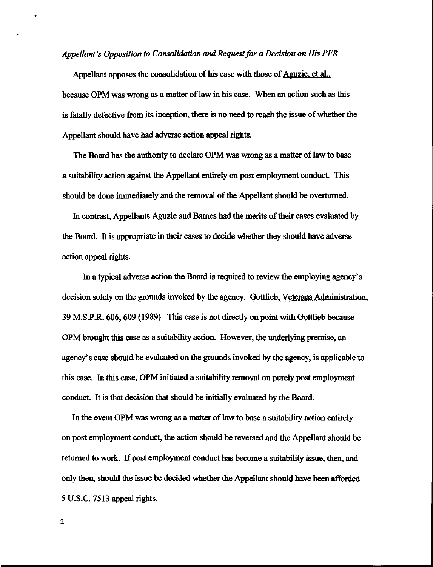### Appellant's Opposition to Consolidation and Request for a Decision on His PFR

Appellant opposes the consolidation of his case with those of Aguzie, et al., because OPM was wrong as a matter of law in his case. When an action such as this is fatally defective from its inception, there is no need to reach the issue of whether the Appellant should have had adverse action appeal rights.

The Board has the authority to declare OPM was wrong as a matter of law to base a suitability action against the Appellant entirely on post employment conduct. This should be done immediately and the removal of the Appellant should be overturned.

In contrast, Appellants Aguzie and Barnes had the merits of their cases evaluated by the Board. It is appropriate in their cases to decide whether they should have adverse action appeal rights.

In a typical adverse action the Board is required to review the employing agency's decision solely on the grounds invoked by the agency. Gottlieb. Veterans Administration. 39 M.S.P.R. 606,609 (1989). This case is not directly on point with Gottlieb because OPM brought this case as a suitability action. However, the underlying premise, an agency's case should be evaluated on the grounds invoked by the agency, is applicable to this case. In this case, OPM initiated a suitability removal on purely post employment conduct. It is that decision that should be initially evaluated by the Board.

In the event OPM was wrong as a matter of law to base a suitability action entirely on post employment conduct, the action should be reversed and the Appellant should be returned to work. If post employment conduct has become a suitability issue, then, and only then, should the issue be decided whether the Appellant should have been afforded 5 U.S.C. 7513 appeal rights.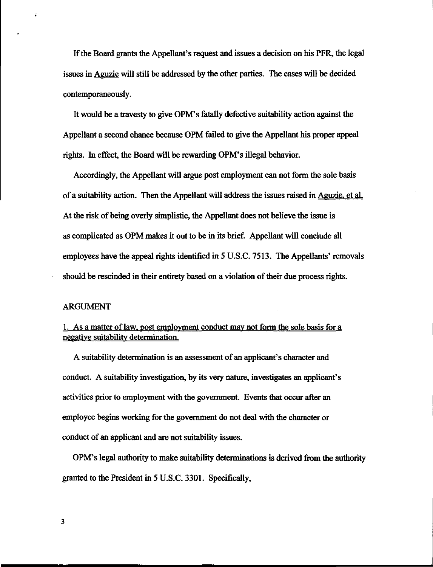If the Board grants the Appellant's request and issues a decision on his PFR, the legal issues in Aguzie will still be addressed by the other parties. The cases will be decided contemporaneously.

It would be a travesty to give OPM's fatally defective suitability action against the Appellant a second chance because OPM failed to give the Appellant his proper appeal rights. In effect, the Board will be rewarding OPM's illegal behavior.

Accordingly, the Appellant will argue post employment can not form the sole basis of a suitability action. Then the Appellant will address the issues raised in Aguzie, et al. At the risk of being overly simplistic, the Appellant does not believe the issue is as complicated as OPM makes it out to be in its brief. Appellant will conclude all employees have the appeal rights identified in 5 U.S.C. 7513. The Appellants' removals should be rescinded in their entirety based on a violation of their due process rights.

#### ARGUMENT

## 1. As a matter of law, post employment conduct may not form the sole basis for a negative suitability determination.

A suitability determination is an assessment of an applicant's character and conduct. A suitability investigation, by its very nature, investigates an applicant's activities prior to employment with the government. Events that occur after an employee begins working for the government do not deal with the character or conduct of an applicant and are not suitability issues.

OPM's legal authority to make suitability determinations is derived from the authority granted to the President in 5 U.S.C. 3301. Specifically,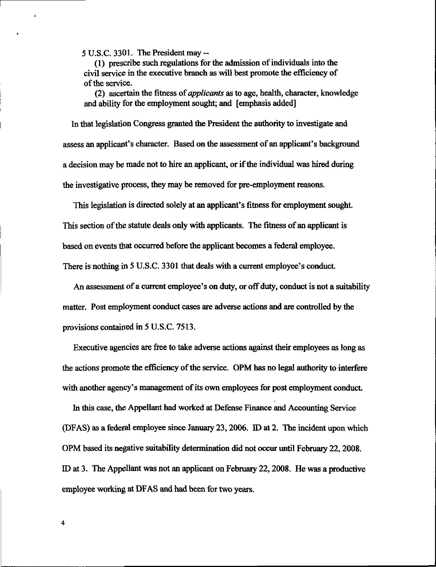5 U.S.C. 3301. The President may -

(1) prescribe such regulations for the admission of individuals into the civil service in the executive branch as will best promote the efficiency of of the service.

(2) ascertain the fitness of applicants as to age, health, character, knowledge and ability for the employment sought; and [emphasis added]

In that legislation Congress granted the President the authority to investigate and assess an applicant's character. Based on the assessment of an applicant's background a decision may be made not to hire an applicant, or if the individual was hired during the investigative process, they may be removed for pre-employment reasons.

This legislation is directed solely at an applicant's fitness for employment sought. This section of the statute deals only with applicants. The fitness of an applicant is based on events that occurred before the applicant becomes a federal employee. There is nothing in 5 U.S.C. 3301 that deals with a current employee's conduct.

An assessment of a current employee's on duty, or off duty, conduct is not a suitability matter. Post employment conduct cases are adverse actions and are controlled by the provisions contained in 5 U.S.C. 7513.

Executive agencies are free to take adverse actions against their employees as long as the actions promote the efficiency of the service. OPM has no legal authority to interfere with another agency's management of its own employees for post employment conduct

hi this case, the Appellant had worked at Defense Finance and Accounting Service (DFAS) as a federal employee since January 23,2006. ID at 2. The incident upon which OPM based its negative suitability determination did not occur until February 22,2008. ID at 3. The Appellant was not an applicant on February 22,2008. He was a productive employee working at DFAS and had been for two years.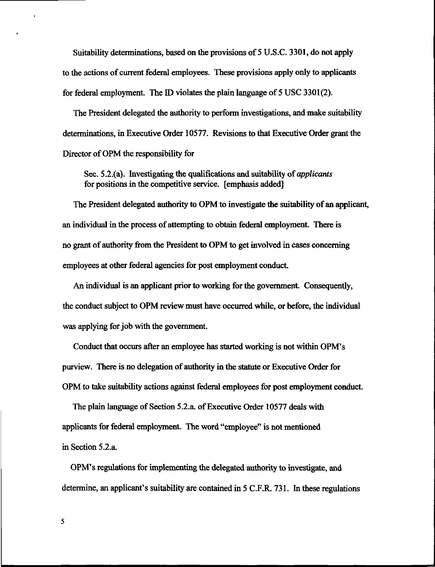Suitability determinations, based on the provisions of 5 U.S.C. 3301, do not apply to the actions of current federal employees. These provisions apply only to applicants for federal employment. The ID violates the plain language of 5 USC 3301(2).

The President delegated the authority to perform investigations, and make suitability determinations, in Executive Order 10577. Revisions to that Executive Order grant the Director of OPM the responsibility for

Sec. 5.2.(a). Investigating the qualifications and suitability of *applicants* for positions in the competitive service, [emphasis added]

The President delegated authority to OPM to investigate the suitability of an applicant, an individual in the process of attempting to obtain federal employment. There is no grant of authority from the President to OPM to get involved in cases concerning employees at other federal agencies for post employment conduct.

An individual is an applicant prior to working for the government. Consequently, the conduct subject to OPM review must have occurred while, or before, the individual was applying for job with the government.

Conduct that occurs after an employee has started working is not within OPM's purview. There is no delegation of authority in the statute or Executive Order for OPM to take suitability actions against federal employees for post employment conduct.

The plain language of Section 5.2.a. of Executive Order 10577 deals with applicants for federal employment. The word "employee" is not mentioned in Section 5.2.a.

OPM's regulations for implementing the delegated authority to investigate, and determine, an applicant's suitability are contained in 5 C.F.R. 731. In these regulations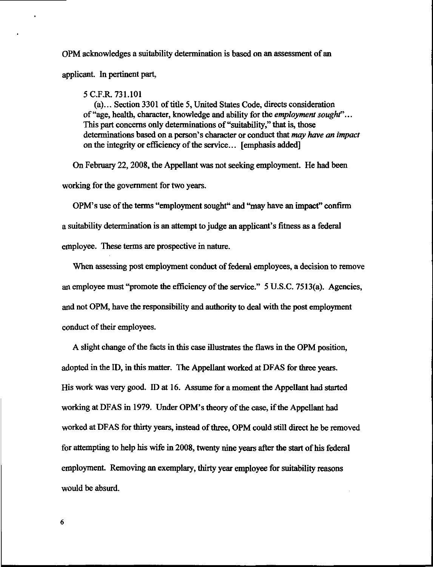OPM acknowledges a suitability determination is based on an assessment of an applicant. In pertinent part,

5 C.F.R. 731.101

(a)... Section 3301 of title 5, United States Code, directs consideration of "age, health, character, knowledge and ability for the *employment sought*"... This part concerns only determinations of "suitability," that is, those determinations based on a person's character or conduct that may have an impact on the integrity or efficiency of the service... [emphasis added]

On February 22,2008, the Appellant was not seeking employment. He had been working for the government for two years.

OPM's use of the terms "employment sought" and "may have an impact" confirm a suitability determination is an attempt to judge an applicant's fitness as a federal employee. These terms are prospective in nature.

When assessing post employment conduct of federal employees, a decision to remove an employee must "promote the efficiency of the service." 5U.S.C. 7513(a). Agencies, and not OPM, have the responsibility and authority to deal with the post employment conduct of their employees.

A slight change of the facts in this case illustrates the flaws in the OPM position, adopted in the ID, in this matter. The Appellant worked at DFAS for three years. His work was very good. ID at 16. Assume for a moment the Appellant had started working at DFAS in 1979. Under OPM's theory of the case, if the Appellant had worked at DFAS for thirty years, instead of three, OPM could still direct he be removed for attempting to help his wife in 2008, twenty nine years after the start of his federal employment. Removing an exemplary, thirty year employee for suitability reasons would be absurd.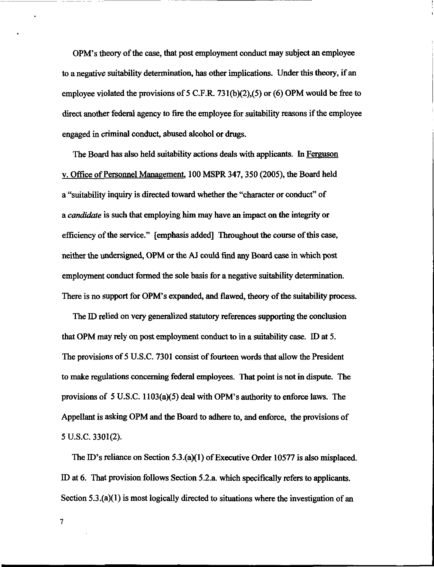OPM's theory of the case, that post employment conduct may subject an employee to a negative suitability determination, has other implications. Under this theory, if an employee violated the provisions of 5 C.F.R. 731(b)(2),(5) or (6) OPM would be free to direct another federal agency to fire the employee for suitability reasons if the employee engaged in criminal conduct, abused alcohol or drugs.

The Board has also held suitability actions deals with applicants. In Ferguson v. Office of Personnel Management, 100 MSPR 347, 350 (2005), the Board held a "suitability inquiry is directed toward whether the "character or conduct" of a candidate is such that employing him may have an impact on the integrity or efficiency of the service." [emphasis added] Throughout the course of this case, neither the undersigned, OPM or the AJ could find any Board case in which post employment conduct formed the sole basis for a negative suitability determination. There is no support for OPM's expanded, and flawed, theory of the suitability process.

The ID relied on very generalized statutory references supporting the conclusion that OPM may rely on post employment conduct to in a suitability case. ID at 5. The provisions of 5 U.S.C. 7301 consist of fourteen words that allow the President to make regulations concerning federal employees. That point is not in dispute. The provisions of 5 U.S.C. 1103(a)(5) deal with OPM's authority to enforce laws. The Appellant is asking OPM and the Board to adhere to, and enforce, the provisions of 5 U.S.C. 3301(2).

The ID's reliance on Section 5.3.(a)(l) of Executive Order 10577 is also misplaced. ID at 6. That provision follows Section 5.2.a. which specifically refers to applicants. Section  $5.3(2)$  is most logically directed to situations where the investigation of an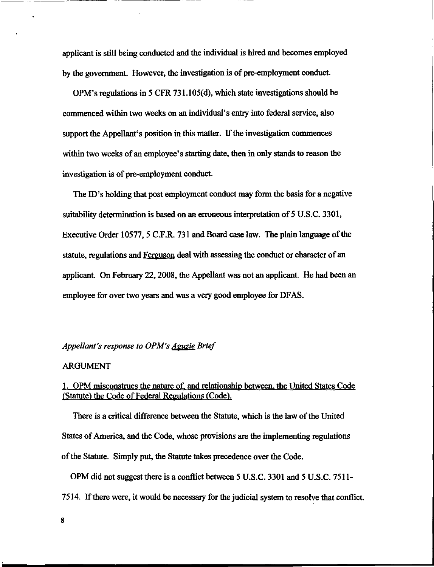applicant is still being conducted and the individual is hired and becomes employed by the government. However, the investigation is of pre-employment conduct.

OPM's regulations in 5 CFR 731.105(d), which state investigations should be commenced within two weeks on an individual's entry into federal service, also support the Appellant's position in this matter. If the investigation commences within two weeks of an employee's starting date, then in only stands to reason the investigation is of pre-employment conduct.

The ID's holding that post employment conduct may form the basis for a negative suitability determination is based on an erroneous interpretation of 5 U.S.C. 3301, Executive Order 10577, 5 C.F.R. 731 and Board case law. The plain language of the statute, regulations and Ferguson deal with assessing the conduct or character of an applicant. On February 22, 2008, the Appellant was not an applicant. He had been an employee for over two years and was a very good employee for DFAS.

### Appellant's response to OPM's Aguzie Brief

### ARGUMENT

## 1. OPM misconstrues the nature of. and relationship between, the United States Code (Statute) the Code of Federal Regulations (Code).

There is a critical difference between the Statute, which is the law of the United States of America, and the Code, whose provisions are the implementing regulations of the Statute. Simply put, the Statute takes precedence over the Code.

OPM did not suggest there is a conflict between 5 U.S.C. 3301 and 5 U.S.C. 7511- 7514. If there were, it would be necessary for the judicial system to resolve that conflict.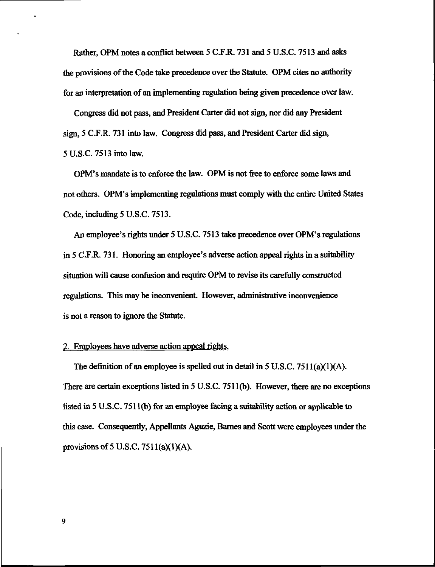Rather, OPM notes a conflict between 5 C.F.R. 731 and 5 U.S.C. 7513 and asks the provisions of the Code take precedence over the Statute. OPM cites no authority for an interpretation of an implementing regulation being given precedence over law.

Congress did not pass, and President Carter did not sign, nor did any President sign, 5 C.F.R. 731 into law. Congress did pass, and President Carter did sign, 5 U.S.C. 7513 into law.

OPM's mandate is to enforce the law. OPM is not free to enforce some laws and not others. OPM's implementing regulations must comply with the entire United States Code, including 5 U.S.C. 7513.

An employee's rights under 5 U.S.C. 7513 take precedence over OPM's regulations in 5 C.F.R. 731. Honoring an employee's adverse action appeal rights in a suitability situation will cause confusion and require OPM to revise its carefully constructed regulations. This may be inconvenient. However, administrative inconvenience is not a reason to ignore the Statute.

### 2. Employees have adverse action appeal rights.

The definition of an employee is spelled out in detail in  $5 \text{ U.S.C. } 7511(a)(1)(\text{A}).$ There are certain exceptions listed in 5 U.S.C. 7511(b). However, there are no exceptions listed in 5 U.S.C. 751 l(b) for an employee facing a suitability action or applicable to this case. Consequently, Appellants Aguzie, Barnes and Scott were employees under the provisions of 5 U.S.C.  $7511(a)(1)(A)$ .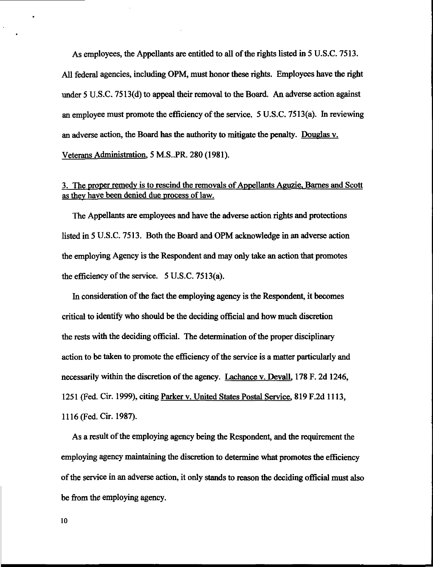As employees, the Appellants are entitled to all of the rights listed in 5 U.S.C. 7513. All federal agencies, including OPM, must honor these rights. Employees have the right under 5 U.S.C. 7513(d) to appeal their removal to the Board, An adverse action against an employee must promote the efficiency of the service. 5 U.S.C. 7513(a). In reviewing an adverse action, the Board has the authority to mitigate the penalty. Douglas v. Veterans Administration. 5 M.S..PR. 280 (1981).

# 3. The proper remedy is to rescind the removals of Appellants Aguzie. Barnes and Scott as they have been denied due process of law.

The Appellants are employees and have the adverse action rights and protections listed in 5 U.S.C. 7513. Both the Board and OPM acknowledge in an adverse action the employing Agency is the Respondent and may only take an action that promotes the efficiency of the service. 5 U.S.C. 7513(a).

In consideration of the fact the employing agency is the Respondent, it becomes critical to identify who should be the deciding official and how much discretion the rests with the deciding official. The determination of the proper disciplinary action to be taken to promote the efficiency of the service is a matter particularly and necessarily within the discretion of the agency. Lachance v. Devall. 178 F. 2d 1246, 1251 (Fed. Cir. 1999), citing Parker v. United States Postal Service. 819 F.2d 1113, 1116 (Fed. Cir. 1987).

As a result of the employing agency being the Respondent, and the requirement the employing agency maintaining the discretion to determine what promotes the efficiency of the service in an adverse action, it only stands to reason the deciding official must also be from the employing agency.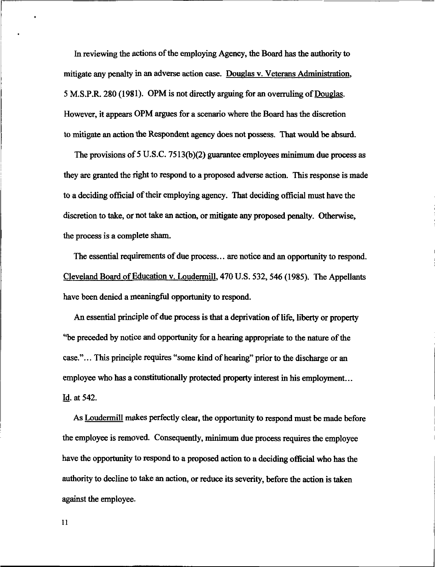In reviewing the actions of the employing Agency, the Board has the authority to mitigate any penalty in an adverse action case. Douglas v. Veterans Administration, 5 M.S.P.R. 280 (1981). OPM is not directly arguing for an overruling of Douglas. However, it appears OPM argues for a scenario where the Board has the discretion to mitigate an action the Respondent agency does not possess. That would be absurd.

The provisions of 5 U.S.C. 7513(b)(2) guarantee employees minimum due process as they are granted the right to respond to a proposed adverse action. This response is made to a deciding official of their employing agency. That deciding official must have the discretion to take, or not take an action, or mitigate any proposed penalty. Otherwise, the process is a complete sham.

The essential requirements of due process... are notice and an opportunity to respond. Cleveland Board of Education v. Loudermill, 470 U.S. 532, 546 (1985). The Appellants have been denied a meaningful opportunity to respond.

An essential principle of due process is that a deprivation of life, liberty or property "be preceded by notice and opportunity for a hearing appropriate to the nature of the case."... This principle requires "some kind of hearing" prior to the discharge or an employee who has a constitutionally protected property interest in his employment... Id. at 542.

As Loudermill makes perfectly clear, the opportunity to respond must be made before the employee is removed. Consequently, minimum due process requires the employee have the opportunity to respond to a proposed action to a deciding official who has the authority to decline to take an action, or reduce its severity, before the action is taken against the employee.

11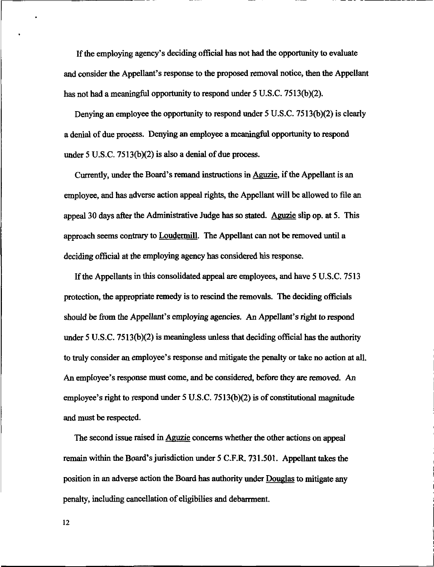If the employing agency's deciding official has not had the opportunity to evaluate and consider the Appellant's response to the proposed removal notice, then the Appellant has not had a meaningful opportunity to respond under 5 U.S.C. 7513(b)(2).

Denying an employee the opportunity to respond under 5 U.S.C. 7513(b)(2) is clearly a denial of due process. Denying an employee a meaningful opportunity to respond under 5 U.S.C. 7513(b)(2) is also a denial of due process.

Currently, under the Board's remand instructions in Aeuzie, if the Appellant is an employee, and has adverse action appeal rights, the Appellant will be allowed to file an appeal 30 days after the Administrative Judge has so stated. Aguzie slip op. at 5. This approach seems contrary to Loudermill. The Appellant can not be removed until a deciding official at the employing agency has considered his response.

If the Appellants in this consolidated appeal are employees, and have 5 U.S.C. 7513 protection, the appropriate remedy is to rescind the removals. The deciding officials should be from the Appellant's employing agencies. An Appellant's right to respond under 5 U.S.C. 7513(b)(2) is meaningless unless that deciding official has the authority to truly consider an employee's response and mitigate the penalty or take no action at all. An employee's response must come, and be considered, before they are removed. An employee's right to respond under 5 U.S.C. 7513(b)(2) is of constitutional magnitude and must be respected.

The second issue raised in Aguzie concerns whether the other actions on appeal remain within the Board's jurisdiction under 5 C.F.R. 731.501. Appellant takes the position in an adverse action the Board has authority under Douglas to mitigate any penalty, including cancellation of eligibilies and debarrment.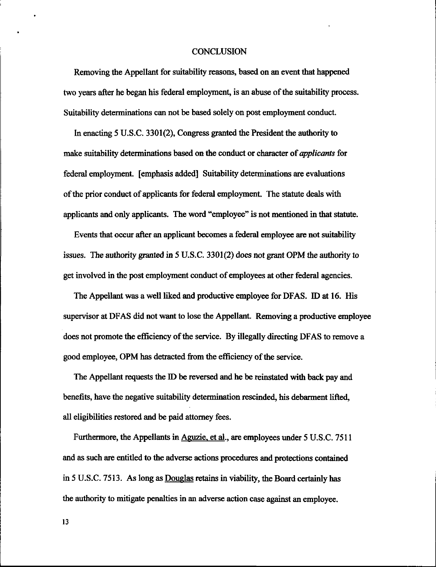### **CONCLUSION**

Removing the Appellant for suitability reasons, based on an event that happened two years after he began his federal employment, is an abuse of the suitability process. Suitability determinations can not be based solely on post employment conduct.

In enacting 5 U.S.C. 3301(2), Congress granted the President the authority to make suitability determinations based on the conduct or character of applicants for federal employment, [emphasis added] Suitability determinations are evaluations of the prior conduct of applicants for federal employment. The statute deals with applicants and only applicants. The word "employee" is not mentioned in that statute.

Events that occur after an applicant becomes a federal employee are not suitability issues. The authority granted in 5 U.S.C. 3301(2) does not grant OPM the authority to get involved in the post employment conduct of employees at other federal agencies.

The Appellant was a well liked and productive employee for DFAS. ID at 16. His supervisor at DFAS did not want to lose the Appellant. Removing a productive employee does not promote the efficiency of the service. By illegally directing DFAS to remove a good employee, OPM has detracted from the efficiency of the service.

The Appellant requests the ID be reversed and he be reinstated with back pay and benefits, have the negative suitability determination rescinded, his debarment lifted, all eligibilities restored and be paid attorney fees.

Furthermore, the Appellants in Aguzie, et al., are employees under 5 U.S.C. 7511 and as such are entitled to the adverse actions procedures and protections contained in 5 U.S.C. 7513. As long as Douglas retains in viability, the Board certainly has the authority to mitigate penalties in an adverse action case against an employee.

13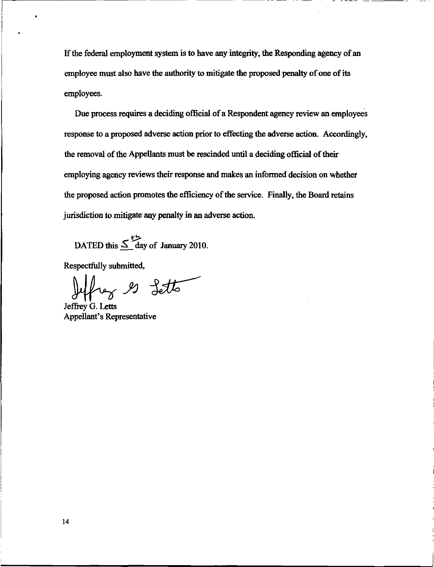If the federal employment system is to have any integrity, the Responding agency of an employee must also have the authority to mitigate the proposed penalty of one of its employees.

Due process requires a deciding official of a Respondent agency review an employees response to a proposed adverse action prior to effecting the adverse action. Accordingly, the removal of the Appellants must be rescinded until a deciding official of their employing agency reviews their response and makes an informed decision on whether the proposed action promotes the efficiency of the service. Finally, the Board retains jurisdiction to mitigate any penalty in an adverse action.

DATED this  $\leq$  day of January 2010.

Respectfully submitted,

frey es Letto

Jeffrey G. Letts Appellant's Representative